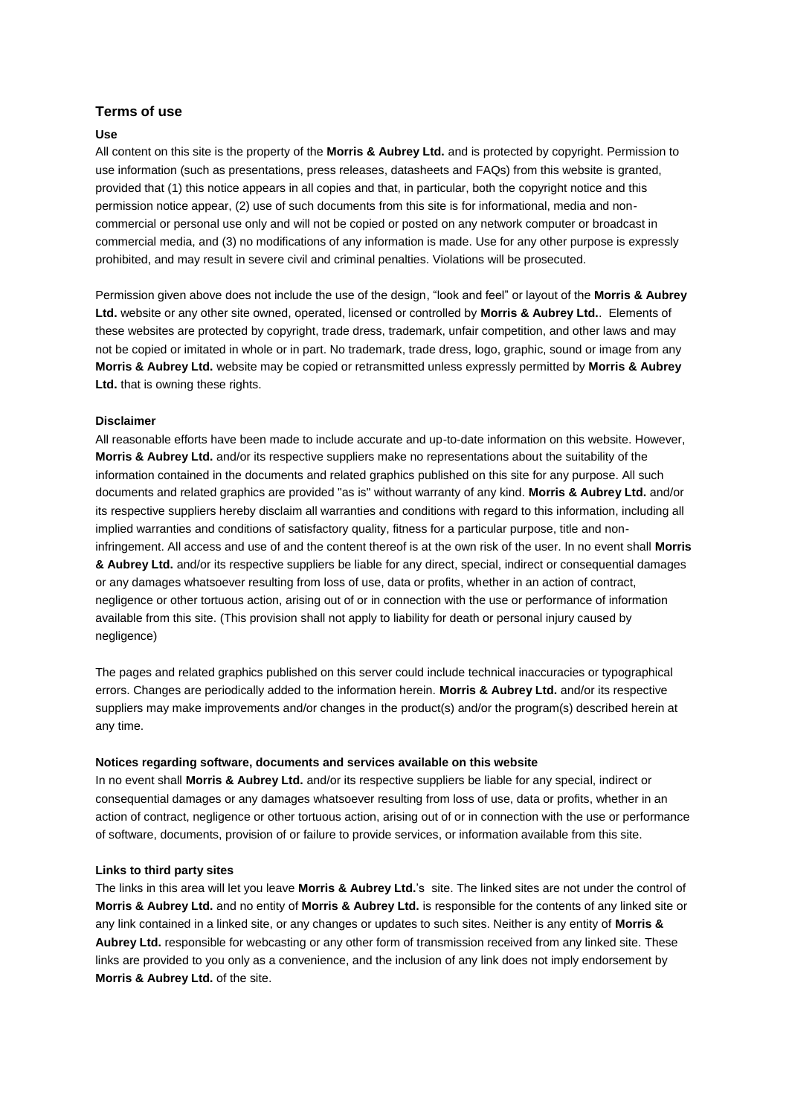# **Terms of use**

### **Use**

All content on this site is the property of the **Morris & Aubrey Ltd.** and is protected by copyright. Permission to use information (such as presentations, press releases, datasheets and FAQs) from this website is granted, provided that (1) this notice appears in all copies and that, in particular, both the copyright notice and this permission notice appear, (2) use of such documents from this site is for informational, media and noncommercial or personal use only and will not be copied or posted on any network computer or broadcast in commercial media, and (3) no modifications of any information is made. Use for any other purpose is expressly prohibited, and may result in severe civil and criminal penalties. Violations will be prosecuted.

Permission given above does not include the use of the design, "look and feel" or layout of the **Morris & Aubrey Ltd.** website or any other site owned, operated, licensed or controlled by **Morris & Aubrey Ltd.**. Elements of these websites are protected by copyright, trade dress, trademark, unfair competition, and other laws and may not be copied or imitated in whole or in part. No trademark, trade dress, logo, graphic, sound or image from any **Morris & Aubrey Ltd.** website may be copied or retransmitted unless expressly permitted by **Morris & Aubrey Ltd.** that is owning these rights.

#### **Disclaimer**

All reasonable efforts have been made to include accurate and up-to-date information on this website. However, **Morris & Aubrey Ltd.** and/or its respective suppliers make no representations about the suitability of the information contained in the documents and related graphics published on this site for any purpose. All such documents and related graphics are provided "as is" without warranty of any kind. **Morris & Aubrey Ltd.** and/or its respective suppliers hereby disclaim all warranties and conditions with regard to this information, including all implied warranties and conditions of satisfactory quality, fitness for a particular purpose, title and noninfringement. All access and use of and the content thereof is at the own risk of the user. In no event shall **Morris & Aubrey Ltd.** and/or its respective suppliers be liable for any direct, special, indirect or consequential damages or any damages whatsoever resulting from loss of use, data or profits, whether in an action of contract, negligence or other tortuous action, arising out of or in connection with the use or performance of information available from this site. (This provision shall not apply to liability for death or personal injury caused by negligence)

The pages and related graphics published on this server could include technical inaccuracies or typographical errors. Changes are periodically added to the information herein. **Morris & Aubrey Ltd.** and/or its respective suppliers may make improvements and/or changes in the product(s) and/or the program(s) described herein at any time.

#### **Notices regarding software, documents and services available on this website**

In no event shall **Morris & Aubrey Ltd.** and/or its respective suppliers be liable for any special, indirect or consequential damages or any damages whatsoever resulting from loss of use, data or profits, whether in an action of contract, negligence or other tortuous action, arising out of or in connection with the use or performance of software, documents, provision of or failure to provide services, or information available from this site.

#### **Links to third party sites**

The links in this area will let you leave **Morris & Aubrey Ltd.**'s site. The linked sites are not under the control of **Morris & Aubrey Ltd.** and no entity of **Morris & Aubrey Ltd.** is responsible for the contents of any linked site or any link contained in a linked site, or any changes or updates to such sites. Neither is any entity of **Morris & Aubrey Ltd.** responsible for webcasting or any other form of transmission received from any linked site. These links are provided to you only as a convenience, and the inclusion of any link does not imply endorsement by **Morris & Aubrey Ltd.** of the site.